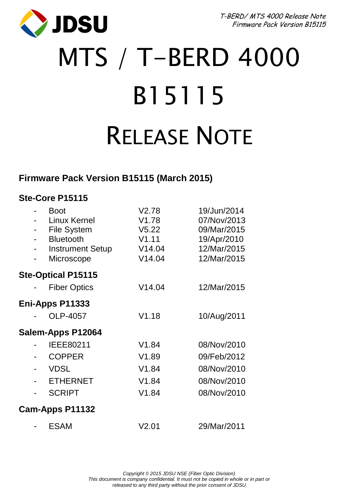

T-BERD/ MTS 4000 Release Note Firmware Pack Version B15115

# MTS / T-BERD 4000 B15115 RELEASE NOTE

# **Firmware Pack Version B15115 (March 2015)**

#### **Ste-Core P15115**

|   | <b>Boot</b><br><b>Linux Kernel</b><br>File System<br><b>Bluetooth</b><br><b>Instrument Setup</b><br>Microscope | V2.78<br>V1.78<br>V5.22<br>V1.11<br>V14.04<br>V14.04 | 19/Jun/2014<br>07/Nov/2013<br>09/Mar/2015<br>19/Apr/2010<br>12/Mar/2015<br>12/Mar/2015 |
|---|----------------------------------------------------------------------------------------------------------------|------------------------------------------------------|----------------------------------------------------------------------------------------|
|   | <b>Ste-Optical P15115</b>                                                                                      |                                                      |                                                                                        |
|   | <b>Fiber Optics</b>                                                                                            | V14.04                                               | 12/Mar/2015                                                                            |
|   | Eni-Apps P11333                                                                                                |                                                      |                                                                                        |
|   | OLP-4057                                                                                                       | V1.18                                                | 10/Aug/2011                                                                            |
|   | Salem-Apps P12064                                                                                              |                                                      |                                                                                        |
|   | IEEE80211                                                                                                      | V1.84                                                | 08/Nov/2010                                                                            |
|   | <b>COPPER</b>                                                                                                  | V1.89                                                | 09/Feb/2012                                                                            |
|   | <b>VDSL</b>                                                                                                    | V1.84                                                | 08/Nov/2010                                                                            |
| ۰ | <b>ETHERNET</b>                                                                                                | V1.84                                                | 08/Nov/2010                                                                            |
|   | <b>SCRIPT</b>                                                                                                  | V1.84                                                | 08/Nov/2010                                                                            |
|   | Cam-Apps P11132                                                                                                |                                                      |                                                                                        |
|   | <b>ESAM</b>                                                                                                    | V2.01                                                | 29/Mar/2011                                                                            |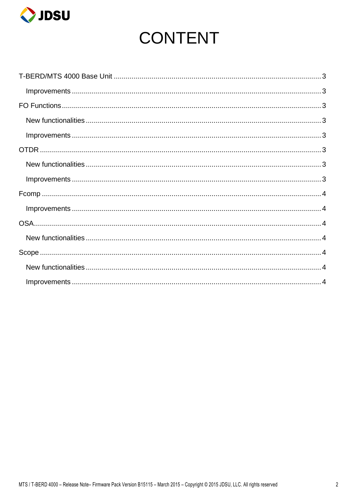

# **CONTENT**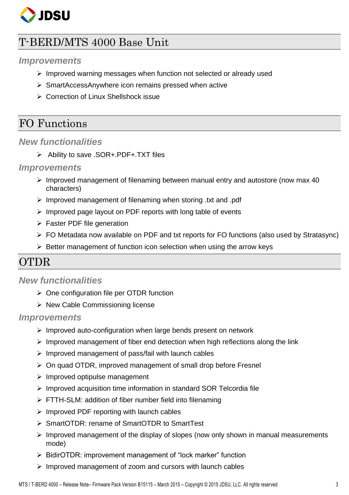

# <span id="page-2-0"></span>T-BERD/MTS 4000 Base Unit

#### <span id="page-2-1"></span>*Improvements*

- $\triangleright$  Improved warning messages when function not selected or already used
- $\triangleright$  SmartAccessAnywhere icon remains pressed when active
- ▶ Correction of Linux Shellshock issue

# <span id="page-2-2"></span>FO Functions

#### <span id="page-2-3"></span>*New functionalities*

Ability to save .SOR+.PDF+.TXT files

#### <span id="page-2-4"></span>*Improvements*

- $\triangleright$  Improved management of filenaming between manual entry and autostore (now max 40 characters)
- $\triangleright$  Improved management of filenaming when storing .txt and .pdf
- $\triangleright$  Improved page layout on PDF reports with long table of events
- $\triangleright$  Faster PDF file generation
- $\triangleright$  FO Metadata now available on PDF and txt reports for FO functions (also used by Stratasync)
- $\triangleright$  Better management of function icon selection when using the arrow keys

# <span id="page-2-5"></span>OTDR

#### <span id="page-2-6"></span>*New functionalities*

- $\triangleright$  One configuration file per OTDR function
- $\triangleright$  New Cable Commissioning license

#### <span id="page-2-7"></span>*Improvements*

- $\triangleright$  Improved auto-configuration when large bends present on network
- $\triangleright$  Improved management of fiber end detection when high reflections along the link
- $\triangleright$  Improved management of pass/fail with launch cables
- $\triangleright$  On quad OTDR, improved management of small drop before Fresnel
- $\triangleright$  Improved optipulse management
- $\triangleright$  Improved acquisition time information in standard SOR Telcordia file
- FTTH-SLM: addition of fiber number field into filenaming
- $\triangleright$  Improved PDF reporting with launch cables
- SmartOTDR: rename of SmartOTDR to SmartTest
- $\triangleright$  Improved management of the display of slopes (now only shown in manual measurements mode)
- BidirOTDR: improvement management of "lock marker" function
- $\triangleright$  Improved management of zoom and cursors with launch cables